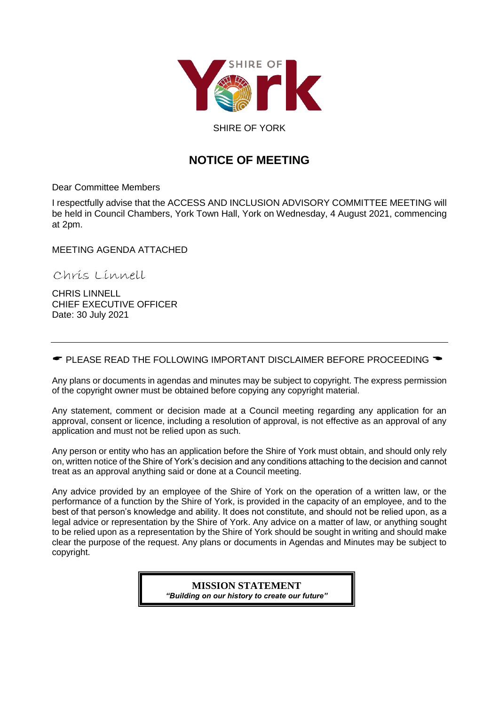

# SHIRE OF YORK

# **NOTICE OF MEETING**

Dear Committee Members

I respectfully advise that the ACCESS AND INCLUSION ADVISORY COMMITTEE MEETING will be held in Council Chambers, York Town Hall, York on Wednesday, 4 August 2021, commencing at 2pm.

MEETING AGENDA ATTACHED

Chris Linnell

CHRIS LINNELL CHIEF EXECUTIVE OFFICER Date: 30 July 2021

#### $\bullet$  PLEASE READ THE FOLLOWING IMPORTANT DISCLAIMER BEFORE PROCEEDING  $\bullet$

Any plans or documents in agendas and minutes may be subject to copyright. The express permission of the copyright owner must be obtained before copying any copyright material.

Any statement, comment or decision made at a Council meeting regarding any application for an approval, consent or licence, including a resolution of approval, is not effective as an approval of any application and must not be relied upon as such.

Any person or entity who has an application before the Shire of York must obtain, and should only rely on, written notice of the Shire of York's decision and any conditions attaching to the decision and cannot treat as an approval anything said or done at a Council meeting.

Any advice provided by an employee of the Shire of York on the operation of a written law, or the performance of a function by the Shire of York, is provided in the capacity of an employee, and to the best of that person's knowledge and ability. It does not constitute, and should not be relied upon, as a legal advice or representation by the Shire of York. Any advice on a matter of law, or anything sought to be relied upon as a representation by the Shire of York should be sought in writing and should make clear the purpose of the request. Any plans or documents in Agendas and Minutes may be subject to copyright.

> **MISSION STATEMENT** *"Building on our history to create our future"*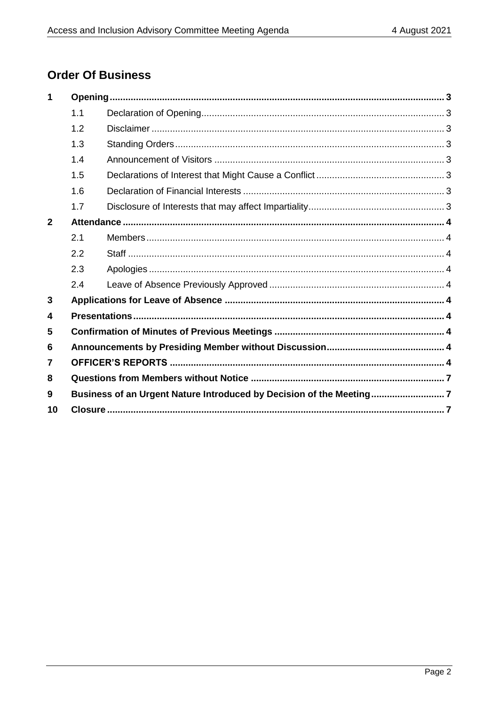# **Order Of Business**

| 1           |                                                                     |  |  |
|-------------|---------------------------------------------------------------------|--|--|
|             | 1.1                                                                 |  |  |
|             | 1.2                                                                 |  |  |
|             | 1.3                                                                 |  |  |
|             | 1.4                                                                 |  |  |
|             | 1.5                                                                 |  |  |
|             | 1.6                                                                 |  |  |
|             | 1.7                                                                 |  |  |
| $\mathbf 2$ |                                                                     |  |  |
|             | 2.1                                                                 |  |  |
|             | 2.2                                                                 |  |  |
|             | 2.3                                                                 |  |  |
|             | 2.4                                                                 |  |  |
| 3           |                                                                     |  |  |
| 4           |                                                                     |  |  |
| 5           |                                                                     |  |  |
| 6           |                                                                     |  |  |
| 7           |                                                                     |  |  |
| 8           |                                                                     |  |  |
| 9           | Business of an Urgent Nature Introduced by Decision of the Meeting7 |  |  |
| 10          |                                                                     |  |  |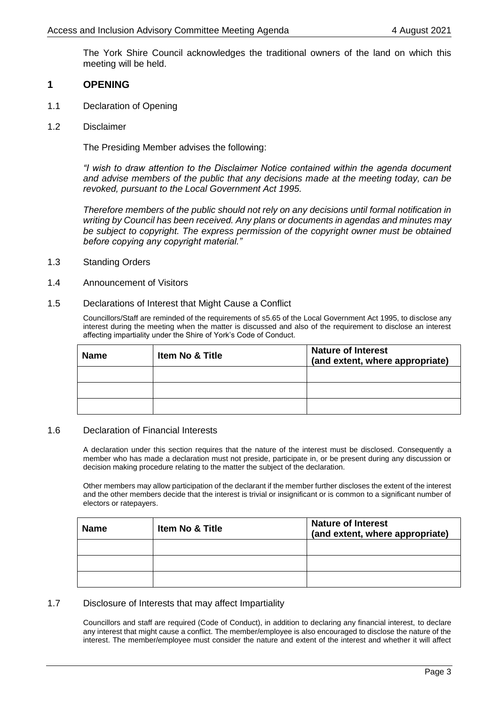The York Shire Council acknowledges the traditional owners of the land on which this meeting will be held.

#### <span id="page-2-0"></span>**1 OPENING**

- <span id="page-2-1"></span>1.1 Declaration of Opening
- <span id="page-2-2"></span>1.2 Disclaimer

The Presiding Member advises the following:

*"I wish to draw attention to the Disclaimer Notice contained within the agenda document and advise members of the public that any decisions made at the meeting today, can be revoked, pursuant to the Local Government Act 1995.*

*Therefore members of the public should not rely on any decisions until formal notification in writing by Council has been received. Any plans or documents in agendas and minutes may be subject to copyright. The express permission of the copyright owner must be obtained before copying any copyright material."*

- <span id="page-2-3"></span>1.3 Standing Orders
- <span id="page-2-4"></span>1.4 Announcement of Visitors
- <span id="page-2-5"></span>1.5 Declarations of Interest that Might Cause a Conflict

Councillors/Staff are reminded of the requirements of s5.65 of the Local Government Act 1995, to disclose any interest during the meeting when the matter is discussed and also of the requirement to disclose an interest affecting impartiality under the Shire of York's Code of Conduct.

| <b>Name</b> | <b>Item No &amp; Title</b> | <b>Nature of Interest</b><br>(and extent, where appropriate) |
|-------------|----------------------------|--------------------------------------------------------------|
|             |                            |                                                              |
|             |                            |                                                              |
|             |                            |                                                              |

#### <span id="page-2-6"></span>1.6 Declaration of Financial Interests

A declaration under this section requires that the nature of the interest must be disclosed. Consequently a member who has made a declaration must not preside, participate in, or be present during any discussion or decision making procedure relating to the matter the subject of the declaration.

Other members may allow participation of the declarant if the member further discloses the extent of the interest and the other members decide that the interest is trivial or insignificant or is common to a significant number of electors or ratepayers.

| <b>Name</b> | <b>Item No &amp; Title</b> | <b>Nature of Interest</b><br>(and extent, where appropriate) |
|-------------|----------------------------|--------------------------------------------------------------|
|             |                            |                                                              |
|             |                            |                                                              |
|             |                            |                                                              |

#### <span id="page-2-7"></span>1.7 Disclosure of Interests that may affect Impartiality

Councillors and staff are required (Code of Conduct), in addition to declaring any financial interest, to declare any interest that might cause a conflict. The member/employee is also encouraged to disclose the nature of the interest. The member/employee must consider the nature and extent of the interest and whether it will affect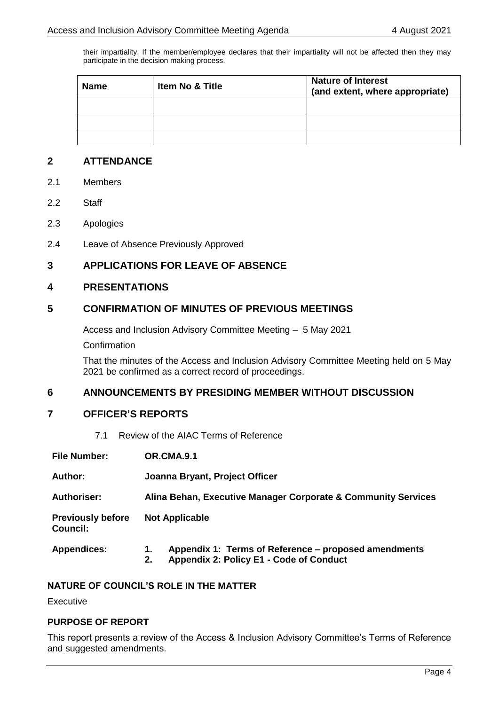their impartiality. If the member/employee declares that their impartiality will not be affected then they may participate in the decision making process.

| <b>Name</b> | <b>Item No &amp; Title</b> | <b>Nature of Interest</b><br>(and extent, where appropriate) |
|-------------|----------------------------|--------------------------------------------------------------|
|             |                            |                                                              |
|             |                            |                                                              |
|             |                            |                                                              |

# <span id="page-3-0"></span>**2 ATTENDANCE**

- <span id="page-3-1"></span>2.1 Members
- <span id="page-3-2"></span>2.2 Staff
- <span id="page-3-3"></span>2.3 Apologies
- <span id="page-3-4"></span>2.4 Leave of Absence Previously Approved

# <span id="page-3-5"></span>**3 APPLICATIONS FOR LEAVE OF ABSENCE**

#### <span id="page-3-6"></span>**4 PRESENTATIONS**

# <span id="page-3-7"></span>**5 CONFIRMATION OF MINUTES OF PREVIOUS MEETINGS**

Access and Inclusion Advisory Committee Meeting – 5 May 2021

**Confirmation** 

That the minutes of the Access and Inclusion Advisory Committee Meeting held on 5 May 2021 be confirmed as a correct record of proceedings.

# <span id="page-3-8"></span>**6 ANNOUNCEMENTS BY PRESIDING MEMBER WITHOUT DISCUSSION**

# <span id="page-3-9"></span>**7 OFFICER'S REPORTS**

7.1 Review of the AIAC Terms of Reference

| <b>File Number:</b>                  | <b>OR.CMA.9.1</b>                                                                                           |  |  |
|--------------------------------------|-------------------------------------------------------------------------------------------------------------|--|--|
| Author:                              | Joanna Bryant, Project Officer                                                                              |  |  |
| <b>Authoriser:</b>                   | Alina Behan, Executive Manager Corporate & Community Services                                               |  |  |
| <b>Previously before</b><br>Council: | <b>Not Applicable</b>                                                                                       |  |  |
| <b>Appendices:</b>                   | Appendix 1: Terms of Reference – proposed amendments<br>1.<br>Appendix 2: Policy E1 - Code of Conduct<br>2. |  |  |

# **NATURE OF COUNCIL'S ROLE IN THE MATTER**

Executive

#### **PURPOSE OF REPORT**

This report presents a review of the Access & Inclusion Advisory Committee's Terms of Reference and suggested amendments.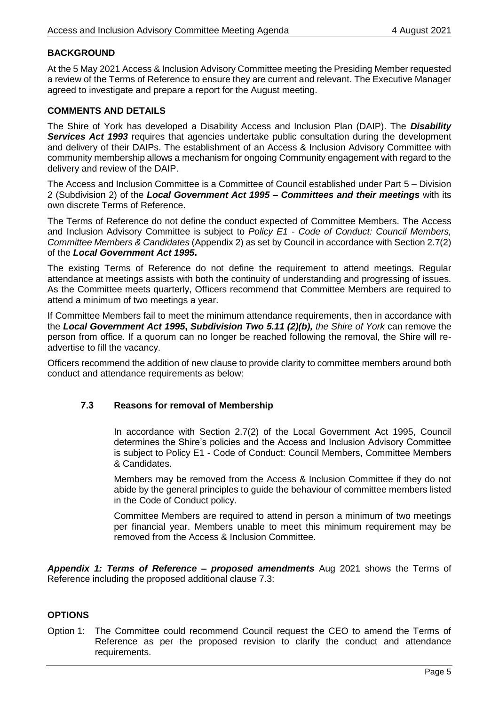# **BACKGROUND**

At the 5 May 2021 Access & Inclusion Advisory Committee meeting the Presiding Member requested a review of the Terms of Reference to ensure they are current and relevant. The Executive Manager agreed to investigate and prepare a report for the August meeting.

# **COMMENTS AND DETAILS**

The Shire of York has developed a Disability Access and Inclusion Plan (DAIP). The *Disability*  **Services Act 1993** requires that agencies undertake public consultation during the development and delivery of their DAIPs. The establishment of an Access & Inclusion Advisory Committee with community membership allows a mechanism for ongoing Community engagement with regard to the delivery and review of the DAIP.

The Access and Inclusion Committee is a Committee of Council established under Part 5 – Division 2 (Subdivision 2) of the *Local Government Act 1995 – Committees and their meetings* with its own discrete Terms of Reference.

The Terms of Reference do not define the conduct expected of Committee Members. The Access and Inclusion Advisory Committee is subject to *Policy E1 - Code of Conduct: Council Members, Committee Members & Candidates* (Appendix 2) as set by Council in accordance with Section 2.7(2) of the *Local Government Act 1995***.** 

The existing Terms of Reference do not define the requirement to attend meetings. Regular attendance at meetings assists with both the continuity of understanding and progressing of issues. As the Committee meets quarterly, Officers recommend that Committee Members are required to attend a minimum of two meetings a year.

If Committee Members fail to meet the minimum attendance requirements, then in accordance with the *Local Government Act 1995***,** *Subdivision Two 5.11 (2)(b), the Shire of York* can remove the person from office. If a quorum can no longer be reached following the removal, the Shire will readvertise to fill the vacancy.

Officers recommend the addition of new clause to provide clarity to committee members around both conduct and attendance requirements as below:

#### **7.3 Reasons for removal of Membership**

In accordance with Section 2.7(2) of the Local Government Act 1995, Council determines the Shire's policies and the Access and Inclusion Advisory Committee is subject to Policy E1 - Code of Conduct: Council Members, Committee Members & Candidates.

Members may be removed from the Access & Inclusion Committee if they do not abide by the general principles to guide the behaviour of committee members listed in the Code of Conduct policy.

Committee Members are required to attend in person a minimum of two meetings per financial year. Members unable to meet this minimum requirement may be removed from the Access & Inclusion Committee.

*Appendix 1: Terms of Reference – proposed amendments* Aug 2021 shows the Terms of Reference including the proposed additional clause 7.3:

#### **OPTIONS**

Option 1: The Committee could recommend Council request the CEO to amend the Terms of Reference as per the proposed revision to clarify the conduct and attendance requirements.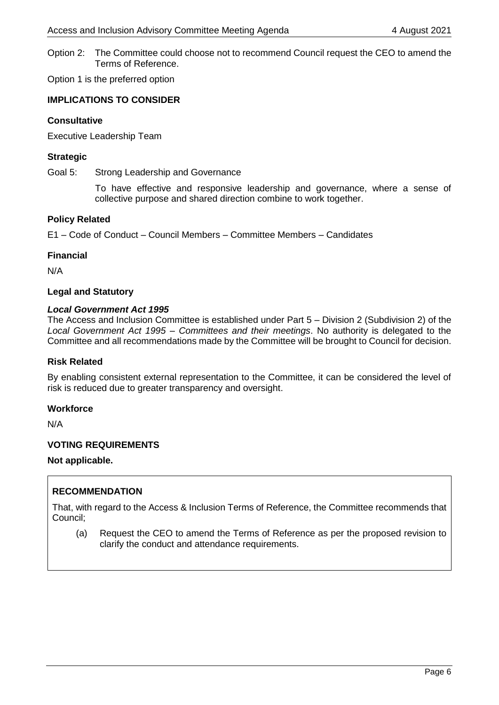Option 2: The Committee could choose not to recommend Council request the CEO to amend the Terms of Reference.

Option 1 is the preferred option

# **IMPLICATIONS TO CONSIDER**

# **Consultative**

Executive Leadership Team

# **Strategic**

Goal 5: Strong Leadership and Governance

To have effective and responsive leadership and governance, where a sense of collective purpose and shared direction combine to work together.

# **Policy Related**

E1 – Code of Conduct – Council Members – Committee Members – Candidates

# **Financial**

N/A

# **Legal and Statutory**

# *Local Government Act 1995*

The Access and Inclusion Committee is established under Part 5 – Division 2 (Subdivision 2) of the *Local Government Act 1995 – Committees and their meetings*. No authority is delegated to the Committee and all recommendations made by the Committee will be brought to Council for decision.

#### **Risk Related**

By enabling consistent external representation to the Committee, it can be considered the level of risk is reduced due to greater transparency and oversight.

#### **Workforce**

N/A

# **VOTING REQUIREMENTS**

#### **Not applicable.**

# **RECOMMENDATION**

That, with regard to the Access & Inclusion Terms of Reference, the Committee recommends that Council;

(a) Request the CEO to amend the Terms of Reference as per the proposed revision to clarify the conduct and attendance requirements.